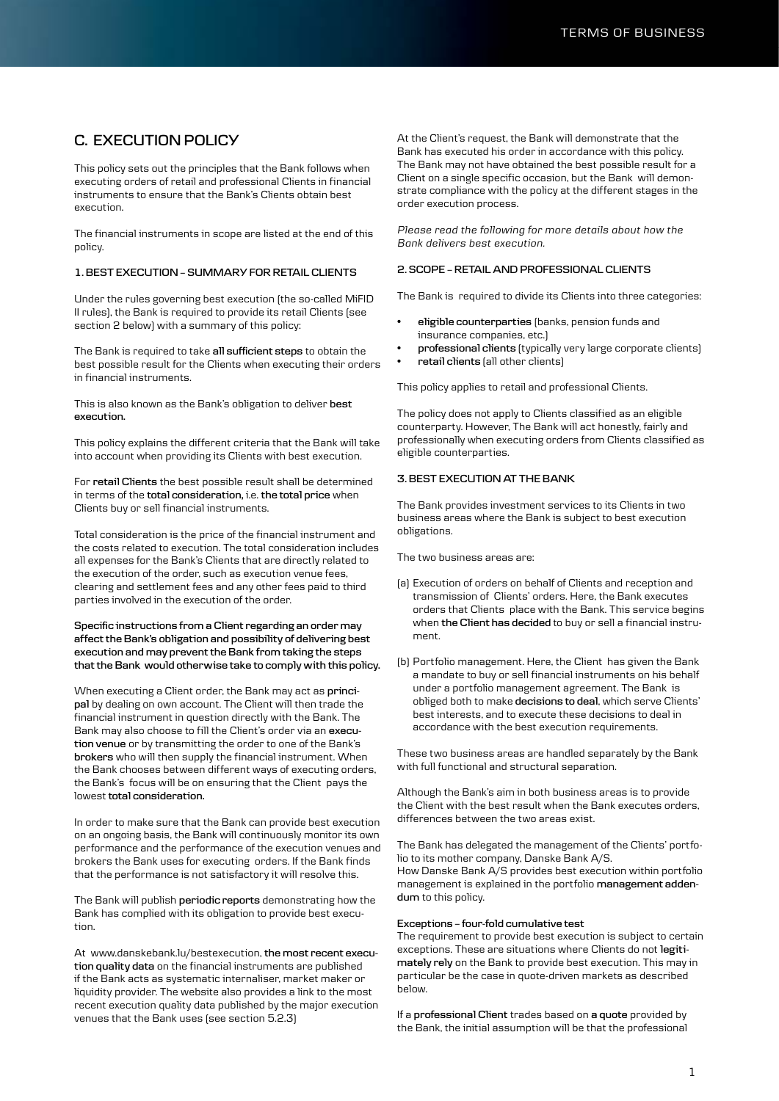# **C. EXECUTION POLICY**

This policy sets out the principles that the Bank follows when executing orders of retail and professional Clients in financial instruments to ensure that the Bank's Clients obtain best execution.

The financial instruments in scope are listed at the end of this policy.

#### **1. BEST EXECUTION – SUMMARY FOR RETAIL CLIENTS**

Under the rules governing best execution (the so-called MiFID II rules), the Bank is required to provide its retail Clients (see section 2 below) with a summary of this policy:

The Bank is required to take **all sufficient steps** to obtain the best possible result for the Clients when executing their orders in financial instruments.

This is also known as the Bank's obligation to deliver **best execution.**

This policy explains the different criteria that the Bank will take into account when providing its Clients with best execution.

For **retail Clients** the best possible result shall be determined in terms of the **total consideration,** i.e. **the total price** when Clients buy or sell financial instruments.

Total consideration is the price of the financial instrument and the costs related to execution. The total consideration includes all expenses for the Bank's Clients that are directly related to the execution of the order, such as execution venue fees, clearing and settlement fees and any other fees paid to third parties involved in the execution of the order.

#### **Specific instructions from a Client regarding an order may affect the Bank's obligation and possibility of delivering best execution and may prevent the Bank from taking the steps that the Bank would otherwise take to comply with this policy.**

When executing a Client order, the Bank may act as **principal** by dealing on own account. The Client will then trade the financial instrument in question directly with the Bank. The Bank may also choose to fill the Client's order via an **execution venue** or by transmitting the order to one of the Bank's **brokers** who will then supply the financial instrument. When the Bank chooses between different ways of executing orders, the Bank's focus will be on ensuring that the Client pays the lowest **total consideration.** 

In order to make sure that the Bank can provide best execution on an ongoing basis, the Bank will continuously monitor its own performance and the performance of the execution venues and brokers the Bank uses for executing orders. If the Bank finds that the performance is not satisfactory it will resolve this.

The Bank will publish **periodic reports** demonstrating how the Bank has complied with its obligation to provide best execution.

At www.danskebank.lu/bestexecution, **the most recent execution quality data** on the financial instruments are published if the Bank acts as systematic internaliser, market maker or liquidity provider. The website also provides a link to the most recent execution quality data published by the major execution venues that the Bank uses (see section 5.2.3)

At the Client's request, the Bank will demonstrate that the Bank has executed his order in accordance with this policy. The Bank may not have obtained the best possible result for a Client on a single specific occasion, but the Bank will demonstrate compliance with the policy at the different stages in the order execution process.

*Please read the following for more details about how the Bank delivers best execution.*

# **2. SCOPE – RETAIL AND PROFESSIONAL CLIENTS**

The Bank is required to divide its Clients into three categories:

- **eligible counterparties** (banks, pension funds and insurance companies, etc.)
- **professional clients** (typically very large corporate clients)
- **retail clients** (all other clients)

This policy applies to retail and professional Clients.

The policy does not apply to Clients classified as an eligible counterparty. However, The Bank will act honestly, fairly and professionally when executing orders from Clients classified as eligible counterparties.

# **3. BEST EXECUTION AT THE BANK**

The Bank provides investment services to its Clients in two business areas where the Bank is subject to best execution obligations.

The two business areas are:

- (a) Execution of orders on behalf of Clients and reception and transmission of Clients' orders. Here, the Bank executes orders that Clients place with the Bank. This service begins when **the Client has decided** to buy or sell a financial instrument.
- (b) Portfolio management. Here, the Client has given the Bank a mandate to buy or sell financial instruments on his behalf under a portfolio management agreement. The Bank is obliged both to make **decisions to deal**, which serve Clients' best interests, and to execute these decisions to deal in accordance with the best execution requirements.

These two business areas are handled separately by the Bank with full functional and structural separation.

Although the Bank's aim in both business areas is to provide the Client with the best result when the Bank executes orders, differences between the two areas exist.

The Bank has delegated the management of the Clients' portfolio to its mother company, Danske Bank A/S. How Danske Bank A/S provides best execution within portfolio

management is explained in the portfolio **management addendum** to this policy.

#### **Exceptions – four-fold cumulative test**

The requirement to provide best execution is subject to certain exceptions. These are situations where Clients do not **legitimately rely** on the Bank to provide best execution. This may in particular be the case in quote-driven markets as described below.

If a **professional Client** trades based on **a quote** provided by the Bank, the initial assumption will be that the professional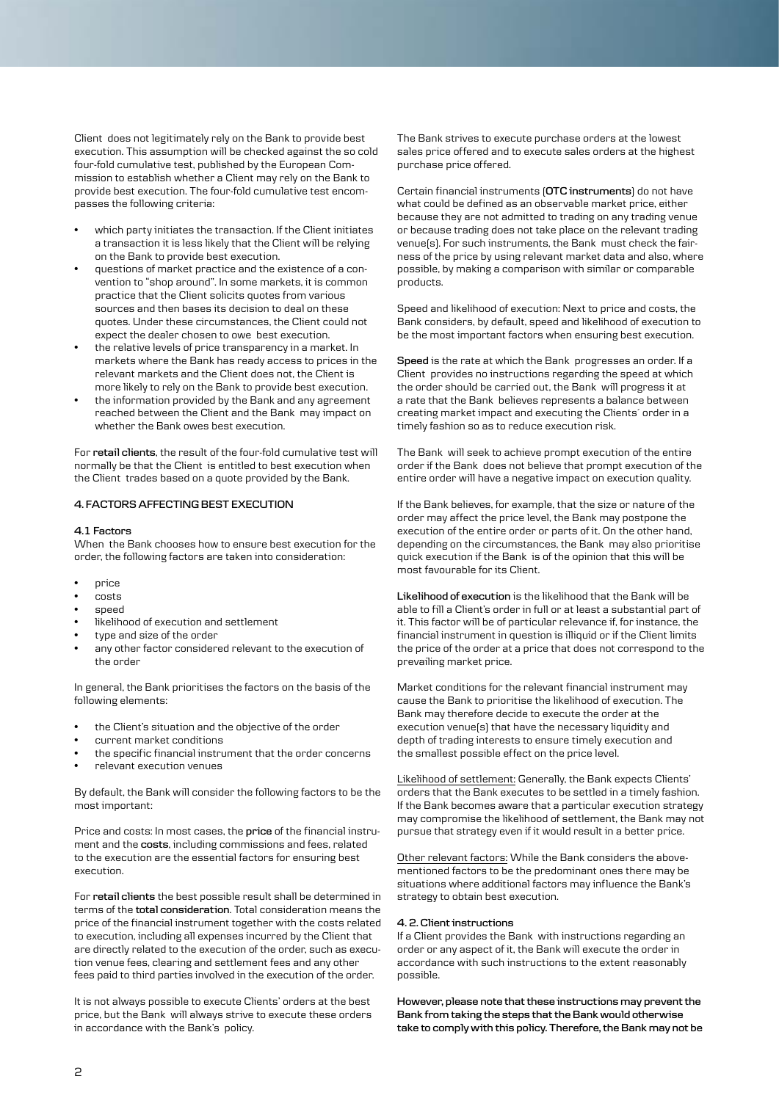Client does not legitimately rely on the Bank to provide best execution. This assumption will be checked against the so cold four-fold cumulative test, published by the European Commission to establish whether a Client may rely on the Bank to provide best execution. The four-fold cumulative test encompasses the following criteria:

- which party initiates the transaction. If the Client initiates a transaction it is less likely that the Client will be relying on the Bank to provide best execution.
- questions of market practice and the existence of a convention to "shop around". In some markets, it is common practice that the Client solicits quotes from various sources and then bases its decision to deal on these quotes. Under these circumstances, the Client could not expect the dealer chosen to owe best execution.
- the relative levels of price transparency in a market. In markets where the Bank has ready access to prices in the relevant markets and the Client does not, the Client is more likely to rely on the Bank to provide best execution.
- the information provided by the Bank and any agreement reached between the Client and the Bank may impact on whether the Bank owes best execution.

For **retail clients**, the result of the four-fold cumulative test will normally be that the Client is entitled to best execution when the Client trades based on a quote provided by the Bank.

#### **4. FACTORS AFFECTING BEST EXECUTION**

#### **4.1 Factors**

When the Bank chooses how to ensure best execution for the order, the following factors are taken into consideration:

- price
- costs
- speed
- likelihood of execution and settlement
- type and size of the order
- any other factor considered relevant to the execution of the order

In general, the Bank prioritises the factors on the basis of the following elements:

- the Client's situation and the objective of the order
- current market conditions
- the specific financial instrument that the order concerns
- relevant execution venues

By default, the Bank will consider the following factors to be the most important:

Price and costs: In most cases, the **price** of the financial instrument and the **costs**, including commissions and fees, related to the execution are the essential factors for ensuring best execution.

For **retail clients** the best possible result shall be determined in terms of the **total consideration**. Total consideration means the price of the financial instrument together with the costs related to execution, including all expenses incurred by the Client that are directly related to the execution of the order, such as execution venue fees, clearing and settlement fees and any other fees paid to third parties involved in the execution of the order.

It is not always possible to execute Clients' orders at the best price, but the Bank will always strive to execute these orders in accordance with the Bank's policy.

The Bank strives to execute purchase orders at the lowest sales price offered and to execute sales orders at the highest purchase price offered.

Certain financial instruments (**OTC instruments**) do not have what could be defined as an observable market price, either because they are not admitted to trading on any trading venue or because trading does not take place on the relevant trading venue(s). For such instruments, the Bank must check the fairness of the price by using relevant market data and also, where possible, by making a comparison with similar or comparable products.

Speed and likelihood of execution: Next to price and costs, the Bank considers, by default, speed and likelihood of execution to be the most important factors when ensuring best execution.

**Speed** is the rate at which the Bank progresses an order. If a Client provides no instructions regarding the speed at which the order should be carried out, the Bank will progress it at a rate that the Bank believes represents a balance between creating market impact and executing the Clients´ order in a timely fashion so as to reduce execution risk.

The Bank will seek to achieve prompt execution of the entire order if the Bank does not believe that prompt execution of the entire order will have a negative impact on execution quality.

If the Bank believes, for example, that the size or nature of the order may affect the price level, the Bank may postpone the execution of the entire order or parts of it. On the other hand, depending on the circumstances, the Bank may also prioritise quick execution if the Bank is of the opinion that this will be most favourable for its Client.

**Likelihood of execution** is the likelihood that the Bank will be able to fill a Client's order in full or at least a substantial part of it. This factor will be of particular relevance if, for instance, the financial instrument in question is illiquid or if the Client limits the price of the order at a price that does not correspond to the prevailing market price.

Market conditions for the relevant financial instrument may cause the Bank to prioritise the likelihood of execution. The Bank may therefore decide to execute the order at the execution venue(s) that have the necessary liquidity and depth of trading interests to ensure timely execution and the smallest possible effect on the price level.

Likelihood of settlement: Generally, the Bank expects Clients' orders that the Bank executes to be settled in a timely fashion. If the Bank becomes aware that a particular execution strategy may compromise the likelihood of settlement, the Bank may not pursue that strategy even if it would result in a better price.

Other relevant factors: While the Bank considers the abovementioned factors to be the predominant ones there may be situations where additional factors may influence the Bank's strategy to obtain best execution.

#### **4. 2. Client instructions**

If a Client provides the Bank with instructions regarding an order or any aspect of it, the Bank will execute the order in accordance with such instructions to the extent reasonably possible.

**However, please note that these instructions may prevent the Bank from taking the steps that the Bank would otherwise take to comply with this policy. Therefore, the Bank may not be**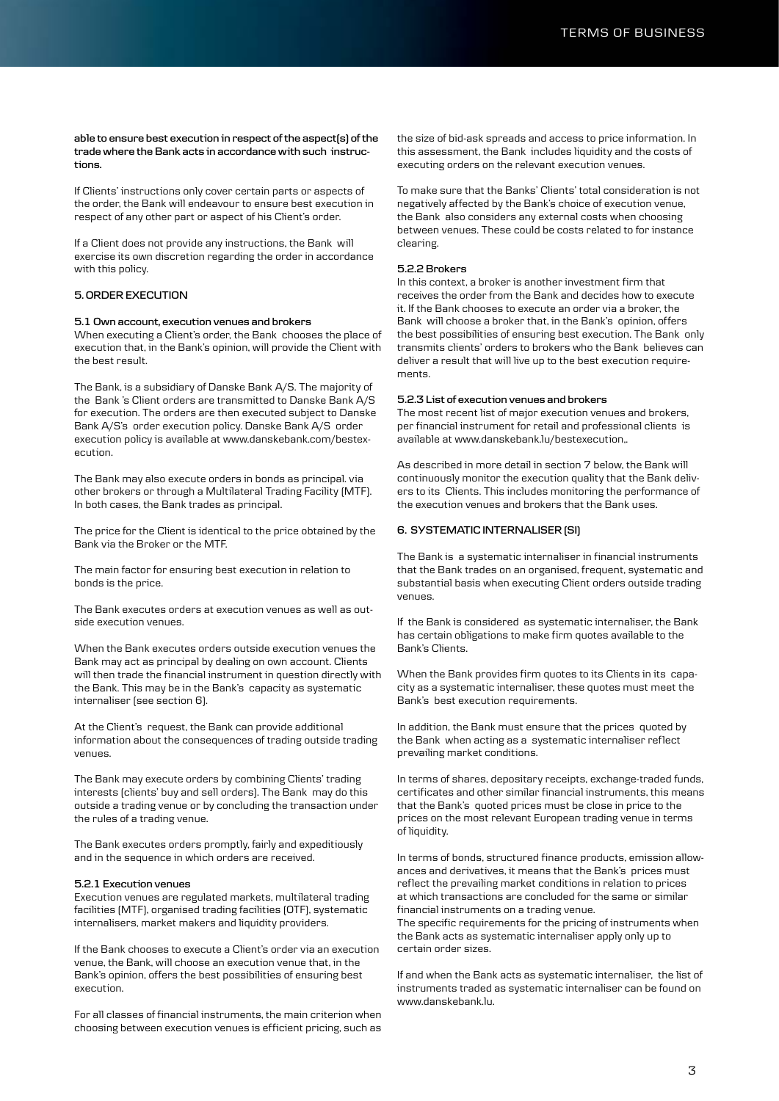**able to ensure best execution in respect of the aspect(s) of the trade where the Bank acts in accordance with such instructions.**

If Clients' instructions only cover certain parts or aspects of the order, the Bank will endeavour to ensure best execution in respect of any other part or aspect of his Client's order.

If a Client does not provide any instructions, the Bank will exercise its own discretion regarding the order in accordance with this policy.

# **5. ORDER EXECUTION**

#### **5.1 Own account, execution venues and brokers**

When executing a Client's order, the Bank chooses the place of execution that, in the Bank's opinion, will provide the Client with the best result.

The Bank, is a subsidiary of Danske Bank A/S. The majority of the Bank 's Client orders are transmitted to Danske Bank A/S for execution. The orders are then executed subject to Danske Bank A/S's order execution policy. Danske Bank A/S order execution policy is available at www.danskebank.com/bestexecution.

The Bank may also execute orders in bonds as principal. via other brokers or through a Multilateral Trading Facility (MTF). In both cases, the Bank trades as principal.

The price for the Client is identical to the price obtained by the Bank via the Broker or the MTF.

The main factor for ensuring best execution in relation to bonds is the price.

The Bank executes orders at execution venues as well as outside execution venues.

When the Bank executes orders outside execution venues the Bank may act as principal by dealing on own account. Clients will then trade the financial instrument in question directly with the Bank. This may be in the Bank's capacity as systematic internaliser (see section 6).

At the Client's request, the Bank can provide additional information about the consequences of trading outside trading venues.

The Bank may execute orders by combining Clients' trading interests (clients' buy and sell orders). The Bank may do this outside a trading venue or by concluding the transaction under the rules of a trading venue.

The Bank executes orders promptly, fairly and expeditiously and in the sequence in which orders are received.

#### **5.2.1 Execution venues**

Execution venues are regulated markets, multilateral trading facilities (MTF), organised trading facilities (OTF), systematic internalisers, market makers and liquidity providers.

If the Bank chooses to execute a Client's order via an execution venue, the Bank, will choose an execution venue that, in the Bank's opinion, offers the best possibilities of ensuring best execution.

For all classes of financial instruments, the main criterion when choosing between execution venues is efficient pricing, such as

the size of bid-ask spreads and access to price information. In this assessment, the Bank includes liquidity and the costs of executing orders on the relevant execution venues.

To make sure that the Banks' Clients' total consideration is not negatively affected by the Bank's choice of execution venue, the Bank also considers any external costs when choosing between venues. These could be costs related to for instance clearing.

## **5.2.2 Brokers**

In this context, a broker is another investment firm that receives the order from the Bank and decides how to execute it. If the Bank chooses to execute an order via a broker, the Bank will choose a broker that, in the Bank's opinion, offers the best possibilities of ensuring best execution. The Bank only transmits clients' orders to brokers who the Bank believes can deliver a result that will live up to the best execution requirements.

#### **5.2.3 List of execution venues and brokers**

The most recent list of major execution venues and brokers, per financial instrument for retail and professional clients is available at www.danskebank.lu/bestexecution,.

As described in more detail in section 7 below, the Bank will continuously monitor the execution quality that the Bank delivers to its Clients. This includes monitoring the performance of the execution venues and brokers that the Bank uses.

#### **6. SYSTEMATIC INTERNALISER (SI)**

The Bank is a systematic internaliser in financial instruments that the Bank trades on an organised, frequent, systematic and substantial basis when executing Client orders outside trading venues.

If the Bank is considered as systematic internaliser, the Bank has certain obligations to make firm quotes available to the Bank's Clients.

When the Bank provides firm quotes to its Clients in its capacity as a systematic internaliser, these quotes must meet the Bank's best execution requirements.

In addition, the Bank must ensure that the prices quoted by the Bank when acting as a systematic internaliser reflect prevailing market conditions.

In terms of shares, depositary receipts, exchange-traded funds, certificates and other similar financial instruments, this means that the Bank's quoted prices must be close in price to the prices on the most relevant European trading venue in terms of liquidity.

In terms of bonds, structured finance products, emission allowances and derivatives, it means that the Bank's prices must reflect the prevailing market conditions in relation to prices at which transactions are concluded for the same or similar financial instruments on a trading venue. The specific requirements for the pricing of instruments when the Bank acts as systematic internaliser apply only up to certain order sizes.

If and when the Bank acts as systematic internaliser, the list of instruments traded as systematic internaliser can be found on www.danskebank.lu.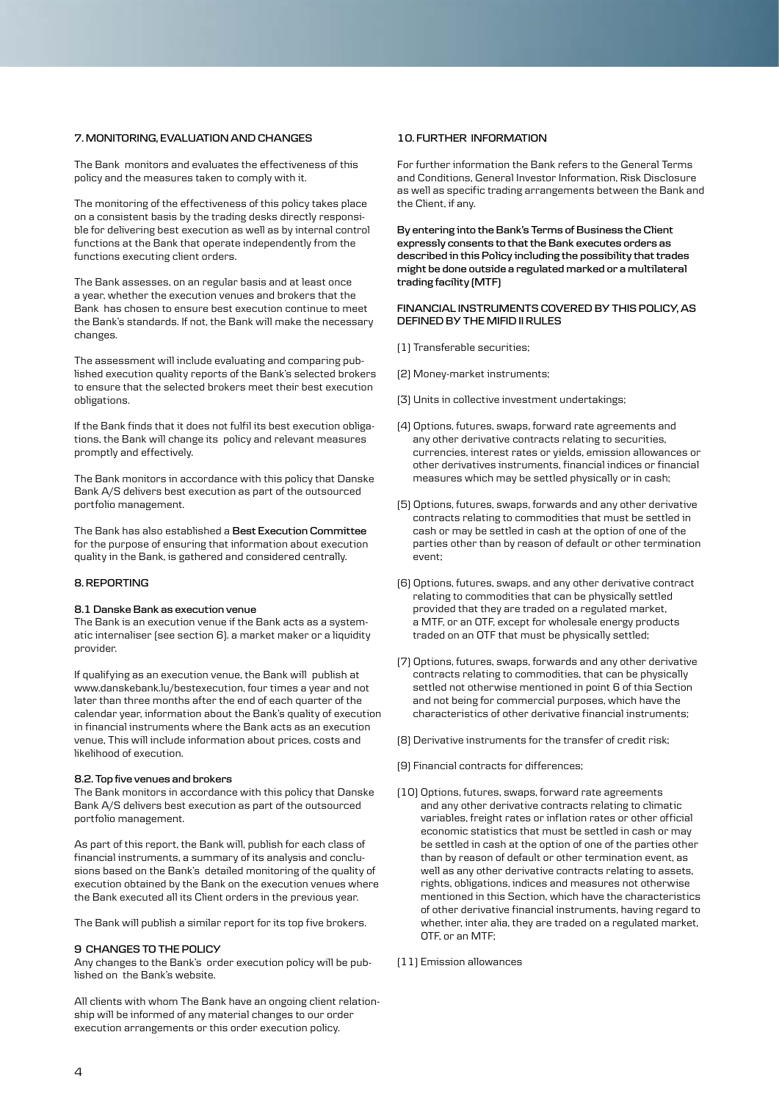# **7. MONITORING, EVALUATION AND CHANGES**

The Bank monitors and evaluates the effectiveness of this policy and the measures taken to comply with it.

The monitoring of the effectiveness of this policy takes place on a consistent basis by the trading desks directly responsible for delivering best execution as well as by internal control functions at the Bank that operate independently from the functions executing client orders.

The Bank assesses, on an regular basis and at least once a year, whether the execution venues and brokers that the Bank has chosen to ensure best execution continue to meet the Bank's standards. If not, the Bank will make the necessary changes.

The assessment will include evaluating and comparing published execution quality reports of the Bank's selected brokers to ensure that the selected brokers meet their best execution obligations.

If the Bank finds that it does not fulfil its best execution obligations, the Bank will change its policy and relevant measures promptly and effectively.

The Bank monitors in accordance with this policy that Danske Bank A/S delivers best execution as part of the outsourced portfolio management.

The Bank has also established a **Best Execution Committee** for the purpose of ensuring that information about execution quality in the Bank, is gathered and considered centrally.

# **8. REPORTING**

# **8.1 Danske Bank as execution venue**

The Bank is an execution venue if the Bank acts as a systematic internaliser (see section 6). a market maker or a liquidity provider.

If qualifying as an execution venue, the Bank will publish at www.danskebank.lu/bestexecution, four times a year and not later than three months after the end of each quarter of the calendar year, information about the Bank's quality of execution in financial instruments where the Bank acts as an execution venue, This will include information about prices, costs and likelihood of execution.

#### **8.2. Top five venues and brokers**

The Bank monitors in accordance with this policy that Danske Bank A/S delivers best execution as part of the outsourced portfolio management.

As part of this report, the Bank will, publish for each class of financial instruments, a summary of its analysis and conclusions based on the Bank's detailed monitoring of the quality of execution obtained by the Bank on the execution venues where the Bank executed all its Client orders in the previous year.

The Bank will publish a similar report for its top five brokers.

#### **9 CHANGES TO THE POLICY**

Any changes to the Bank's order execution policy will be published on the Bank's website.

All clients with whom The Bank have an ongoing client relationship will be informed of any material changes to our order execution arrangements or this order execution policy.

# **10. FURTHER INFORMATION**

For further information the Bank refers to the General Terms and Conditions, General Investor Information, Risk Disclosure as well as specific trading arrangements between the Bank and the Client, if any.

**By entering into the Bank's Terms of Business the Client expressly consents to that the Bank executes orders as described in this Policy including the possibility that trades might be done outside a regulated marked or a multilateral trading facility (MTF)**

#### **FINANCIAL INSTRUMENTS COVERED BY THIS POLICY, AS DEFINED BY THE MIFID II RULES**

- (1) Transferable securities;
- (2) Money-market instruments;
- (3) Units in collective investment undertakings;
- (4) Options, futures, swaps, forward rate agreements and any other derivative contracts relating to securities, currencies, interest rates or yields, emission allowances or other derivatives instruments, financial indices or financial measures which may be settled physically or in cash;
- (5) Options, futures, swaps, forwards and any other derivative contracts relating to commodities that must be settled in cash or may be settled in cash at the option of one of the parties other than by reason of default or other termination event;
- (6) Options, futures, swaps, and any other derivative contract relating to commodities that can be physically settled provided that they are traded on a regulated market, a MTF, or an OTF, except for wholesale energy products traded on an OTF that must be physically settled;
- (7) Options, futures, swaps, forwards and any other derivative contracts relating to commodities, that can be physically settled not otherwise mentioned in point 6 of thia Section and not being for commercial purposes, which have the characteristics of other derivative financial instruments;
- (8) Derivative instruments for the transfer of credit risk;
- (9) Financial contracts for differences;
- (10) Options, futures, swaps, forward rate agreements and any other derivative contracts relating to climatic variables, freight rates or inflation rates or other official economic statistics that must be settled in cash or may be settled in cash at the option of one of the parties other than by reason of default or other termination event, as well as any other derivative contracts relating to assets, rights, obligations, indices and measures not otherwise mentioned in this Section, which have the characteristics of other derivative financial instruments, having regard to whether, inter alia, they are traded on a regulated market, OTF, or an MTF;
- (11) Emission allowances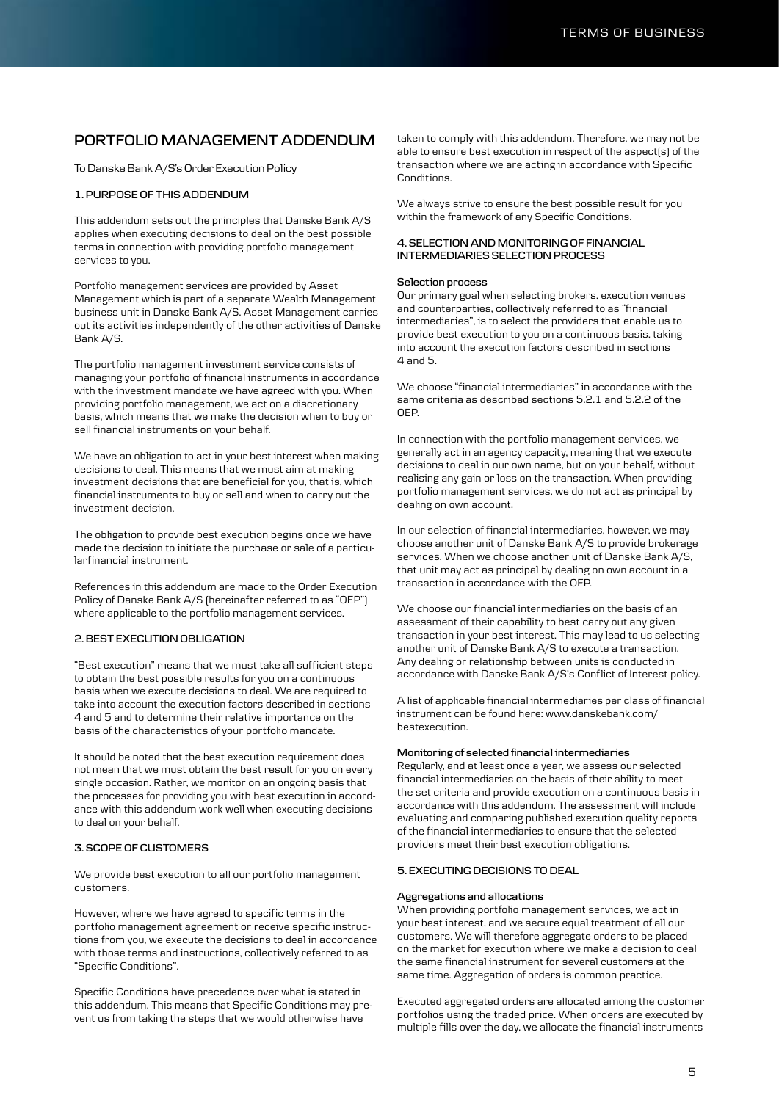# **PORTFOLIO MANAGEMENT ADDENDUM**

To Danske Bank A/S's Order Execution Policy

## **1. PURPOSE OF THIS ADDENDUM**

This addendum sets out the principles that Danske Bank A/S applies when executing decisions to deal on the best possible terms in connection with providing portfolio management services to you.

Portfolio management services are provided by Asset Management which is part of a separate Wealth Management business unit in Danske Bank A/S. Asset Management carries out its activities independently of the other activities of Danske Bank A/S.

The portfolio management investment service consists of managing your portfolio of financial instruments in accordance with the investment mandate we have agreed with you. When providing portfolio management, we act on a discretionary basis, which means that we make the decision when to buy or sell financial instruments on your behalf.

We have an obligation to act in your best interest when making decisions to deal. This means that we must aim at making investment decisions that are beneficial for you, that is, which financial instruments to buy or sell and when to carry out the investment decision.

The obligation to provide best execution begins once we have made the decision to initiate the purchase or sale of a particularfinancial instrument.

References in this addendum are made to the Order Execution Policy of Danske Bank A/S (hereinafter referred to as "OEP") where applicable to the portfolio management services.

# **2. BEST EXECUTION OBLIGATION**

"Best execution" means that we must take all sufficient steps to obtain the best possible results for you on a continuous basis when we execute decisions to deal. We are required to take into account the execution factors described in sections 4 and 5 and to determine their relative importance on the basis of the characteristics of your portfolio mandate.

It should be noted that the best execution requirement does not mean that we must obtain the best result for you on every single occasion. Rather, we monitor on an ongoing basis that the processes for providing you with best execution in accordance with this addendum work well when executing decisions to deal on your behalf.

# **3. SCOPE OF CUSTOMERS**

We provide best execution to all our portfolio management customers.

However, where we have agreed to specific terms in the portfolio management agreement or receive specific instructions from you, we execute the decisions to deal in accordance with those terms and instructions, collectively referred to as "Specific Conditions".

Specific Conditions have precedence over what is stated in this addendum. This means that Specific Conditions may prevent us from taking the steps that we would otherwise have

taken to comply with this addendum. Therefore, we may not be able to ensure best execution in respect of the aspect(s) of the transaction where we are acting in accordance with Specific Conditions.

We always strive to ensure the best possible result for you within the framework of any Specific Conditions.

#### **4. SELECTION AND MONITORING OF FINANCIAL INTERMEDIARIES SELECTION PROCESS**

#### **Selection process**

Our primary goal when selecting brokers, execution venues and counterparties, collectively referred to as "financial intermediaries", is to select the providers that enable us to provide best execution to you on a continuous basis, taking into account the execution factors described in sections 4 and 5.

We choose "financial intermediaries" in accordance with the same criteria as described sections 5.2.1 and 5.2.2 of the OEP.

In connection with the portfolio management services, we generally act in an agency capacity, meaning that we execute decisions to deal in our own name, but on your behalf, without realising any gain or loss on the transaction. When providing portfolio management services, we do not act as principal by dealing on own account.

In our selection of financial intermediaries, however, we may choose another unit of Danske Bank A/S to provide brokerage services. When we choose another unit of Danske Bank A/S, that unit may act as principal by dealing on own account in a transaction in accordance with the OEP.

We choose our financial intermediaries on the basis of an assessment of their capability to best carry out any given transaction in your best interest. This may lead to us selecting another unit of Danske Bank A/S to execute a transaction. Any dealing or relationship between units is conducted in accordance with Danske Bank A/S's Conflict of Interest policy.

A list of applicable financial intermediaries per class of financial instrument can be found here: www.danskebank.com/ bestexecution.

#### **Monitoring of selected financial intermediaries**

Regularly, and at least once a year, we assess our selected financial intermediaries on the basis of their ability to meet the set criteria and provide execution on a continuous basis in accordance with this addendum. The assessment will include evaluating and comparing published execution quality reports of the financial intermediaries to ensure that the selected providers meet their best execution obligations.

#### **5. EXECUTING DECISIONS TO DEAL**

#### **Aggregations and allocations**

When providing portfolio management services, we act in your best interest, and we secure equal treatment of all our customers. We will therefore aggregate orders to be placed on the market for execution where we make a decision to deal the same financial instrument for several customers at the same time. Aggregation of orders is common practice.

Executed aggregated orders are allocated among the customer portfolios using the traded price. When orders are executed by multiple fills over the day, we allocate the financial instruments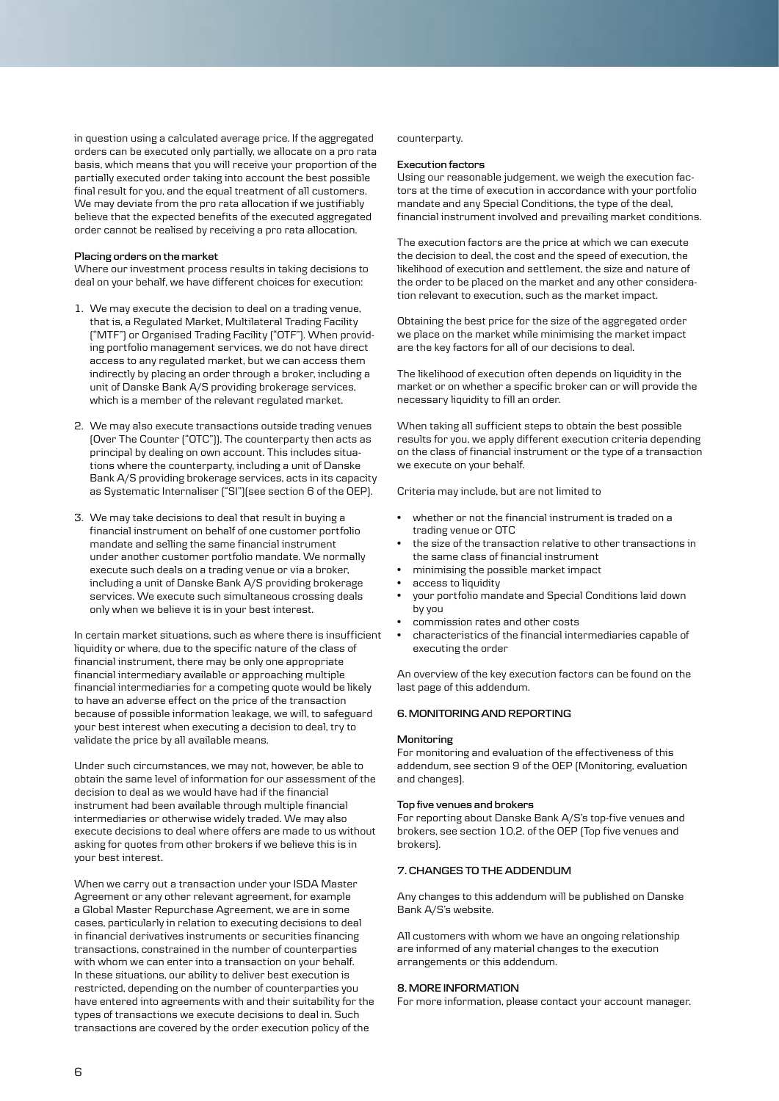in question using a calculated average price. If the aggregated orders can be executed only partially, we allocate on a pro rata basis, which means that you will receive your proportion of the partially executed order taking into account the best possible final result for you, and the equal treatment of all customers. We may deviate from the pro rata allocation if we justifiably believe that the expected benefits of the executed aggregated order cannot be realised by receiving a pro rata allocation.

#### **Placing orders on the market**

Where our investment process results in taking decisions to deal on your behalf, we have different choices for execution:

- 1. We may execute the decision to deal on a trading venue, that is, a Regulated Market, Multilateral Trading Facility ("MTF") or Organised Trading Facility ("OTF"). When providing portfolio management services, we do not have direct access to any regulated market, but we can access them indirectly by placing an order through a broker, including a unit of Danske Bank A/S providing brokerage services, which is a member of the relevant regulated market.
- 2. We may also execute transactions outside trading venues (Over The Counter ("OTC")). The counterparty then acts as principal by dealing on own account. This includes situations where the counterparty, including a unit of Danske Bank A/S providing brokerage services, acts in its capacity as Systematic Internaliser ("SI")(see section 6 of the OEP).
- 3. We may take decisions to deal that result in buying a financial instrument on behalf of one customer portfolio mandate and selling the same financial instrument under another customer portfolio mandate. We normally execute such deals on a trading venue or via a broker, including a unit of Danske Bank A/S providing brokerage services. We execute such simultaneous crossing deals only when we believe it is in your best interest.

In certain market situations, such as where there is insufficient liquidity or where, due to the specific nature of the class of financial instrument, there may be only one appropriate financial intermediary available or approaching multiple financial intermediaries for a competing quote would be likely to have an adverse effect on the price of the transaction because of possible information leakage, we will, to safeguard your best interest when executing a decision to deal, try to validate the price by all available means.

Under such circumstances, we may not, however, be able to obtain the same level of information for our assessment of the decision to deal as we would have had if the financial instrument had been available through multiple financial intermediaries or otherwise widely traded. We may also execute decisions to deal where offers are made to us without asking for quotes from other brokers if we believe this is in your best interest.

When we carry out a transaction under your ISDA Master Agreement or any other relevant agreement, for example a Global Master Repurchase Agreement, we are in some cases, particularly in relation to executing decisions to deal in financial derivatives instruments or securities financing transactions, constrained in the number of counterparties with whom we can enter into a transaction on your behalf. In these situations, our ability to deliver best execution is restricted, depending on the number of counterparties you have entered into agreements with and their suitability for the types of transactions we execute decisions to deal in. Such transactions are covered by the order execution policy of the

#### counterparty.

#### **Execution factors**

Using our reasonable judgement, we weigh the execution factors at the time of execution in accordance with your portfolio mandate and any Special Conditions, the type of the deal, financial instrument involved and prevailing market conditions.

The execution factors are the price at which we can execute the decision to deal, the cost and the speed of execution, the likelihood of execution and settlement, the size and nature of the order to be placed on the market and any other consideration relevant to execution, such as the market impact.

Obtaining the best price for the size of the aggregated order we place on the market while minimising the market impact are the key factors for all of our decisions to deal.

The likelihood of execution often depends on liquidity in the market or on whether a specific broker can or will provide the necessary liquidity to fill an order.

When taking all sufficient steps to obtain the best possible results for you, we apply different execution criteria depending on the class of financial instrument or the type of a transaction we execute on your behalf.

Criteria may include, but are not limited to

- whether or not the financial instrument is traded on a trading venue or OTC
- the size of the transaction relative to other transactions in the same class of financial instrument
- minimising the possible market impact
- access to liquidity
- your portfolio mandate and Special Conditions laid down by you
- commission rates and other costs
- characteristics of the financial intermediaries capable of executing the order

An overview of the key execution factors can be found on the last page of this addendum.

# **6. MONITORING AND REPORTING**

#### **Monitoring**

For monitoring and evaluation of the effectiveness of this addendum, see section 9 of the OEP (Monitoring, evaluation and changes).

#### **Top five venues and brokers**

For reporting about Danske Bank A/S's top-five venues and brokers, see section 10.2. of the OEP (Top five venues and brokers).

# **7. CHANGES TO THE ADDENDUM**

Any changes to this addendum will be published on Danske Bank A/S's website.

All customers with whom we have an ongoing relationship are informed of any material changes to the execution arrangements or this addendum.

#### **8. MORE INFORMATION**

For more information, please contact your account manager.